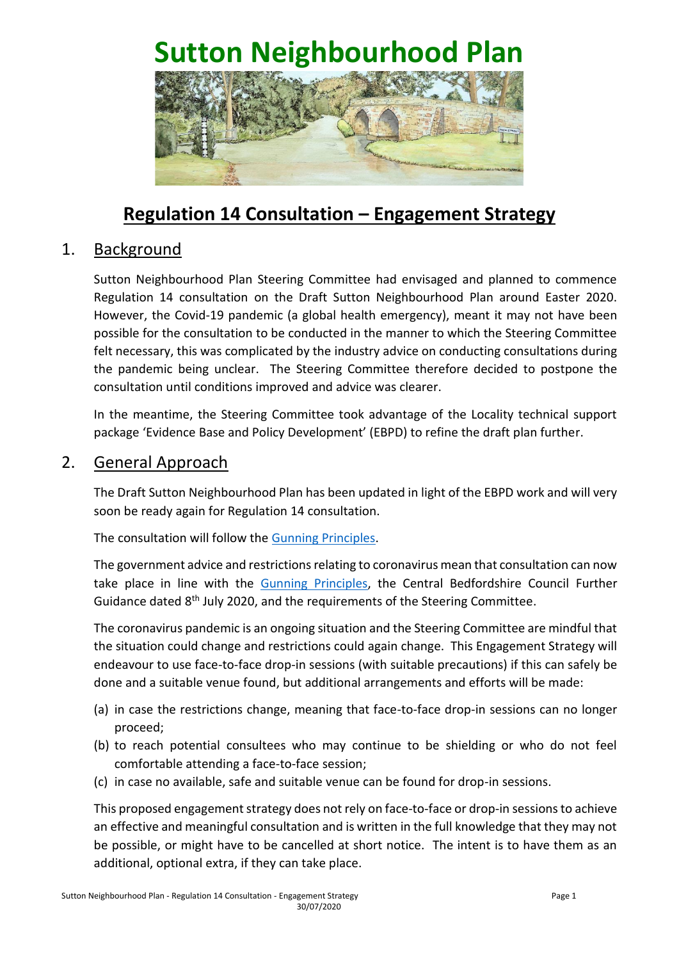

# **Regulation 14 Consultation – Engagement Strategy**

## 1. Background

Sutton Neighbourhood Plan Steering Committee had envisaged and planned to commence Regulation 14 consultation on the Draft Sutton Neighbourhood Plan around Easter 2020. However, the Covid-19 pandemic (a global health emergency), meant it may not have been possible for the consultation to be conducted in the manner to which the Steering Committee felt necessary, this was complicated by the industry advice on conducting consultations during the pandemic being unclear. The Steering Committee therefore decided to postpone the consultation until conditions improved and advice was clearer.

In the meantime, the Steering Committee took advantage of the Locality technical support package 'Evidence Base and Policy Development' (EBPD) to refine the draft plan further.

#### 2. General Approach

The Draft Sutton Neighbourhood Plan has been updated in light of the EBPD work and will very soon be ready again for Regulation 14 consultation.

The consultation will follow the [Gunning Principles.](https://www.local.gov.uk/sites/default/files/documents/The%20Gunning%20Principles.pdf)

The government advice and restrictions relating to coronavirus mean that consultation can now take place in line with the [Gunning Principles,](https://www.local.gov.uk/sites/default/files/documents/The%20Gunning%20Principles.pdf) the Central Bedfordshire Council Further Guidance dated 8<sup>th</sup> July 2020, and the requirements of the Steering Committee.

The coronavirus pandemic is an ongoing situation and the Steering Committee are mindful that the situation could change and restrictions could again change. This Engagement Strategy will endeavour to use face-to-face drop-in sessions (with suitable precautions) if this can safely be done and a suitable venue found, but additional arrangements and efforts will be made:

- (a) in case the restrictions change, meaning that face-to-face drop-in sessions can no longer proceed;
- (b) to reach potential consultees who may continue to be shielding or who do not feel comfortable attending a face-to-face session;
- (c) in case no available, safe and suitable venue can be found for drop-in sessions.

This proposed engagement strategy does not rely on face-to-face or drop-in sessions to achieve an effective and meaningful consultation and is written in the full knowledge that they may not be possible, or might have to be cancelled at short notice. The intent is to have them as an additional, optional extra, if they can take place.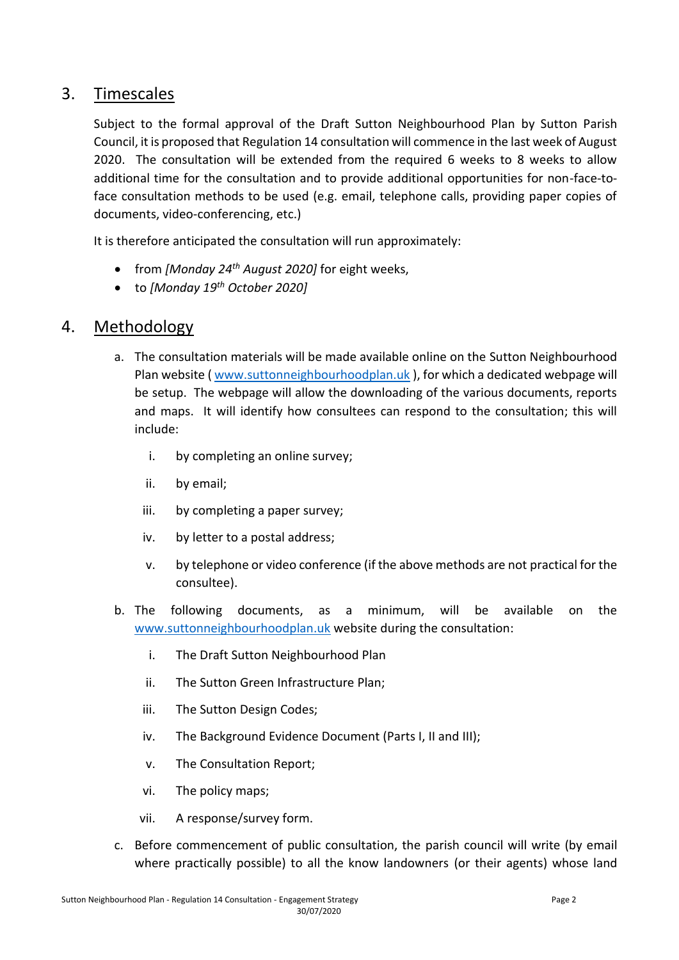## 3. Timescales

Subject to the formal approval of the Draft Sutton Neighbourhood Plan by Sutton Parish Council, it is proposed that Regulation 14 consultation will commence in the last week of August 2020. The consultation will be extended from the required 6 weeks to 8 weeks to allow additional time for the consultation and to provide additional opportunities for non-face-toface consultation methods to be used (e.g. email, telephone calls, providing paper copies of documents, video-conferencing, etc.)

It is therefore anticipated the consultation will run approximately:

- from *[Monday 24th August 2020]* for eight weeks,
- to *[Monday 19th October 2020]*

## 4. Methodology

- a. The consultation materials will be made available online on the Sutton Neighbourhood Plan website ( [www.suttonneighbourhoodplan.uk](http://www.suttonneighbourhoodplan.uk/) ), for which a dedicated webpage will be setup. The webpage will allow the downloading of the various documents, reports and maps. It will identify how consultees can respond to the consultation; this will include:
	- i. by completing an online survey;
	- ii. by email;
	- iii. by completing a paper survey;
	- iv. by letter to a postal address;
	- v. by telephone or video conference (if the above methods are not practical for the consultee).
- b. The following documents, as a minimum, will be available on the [www.suttonneighbourhoodplan.uk](http://www.suttonneighbourhoodplan.uk/) website during the consultation:
	- i. The Draft Sutton Neighbourhood Plan
	- ii. The Sutton Green Infrastructure Plan;
	- iii. The Sutton Design Codes;
	- iv. The Background Evidence Document (Parts I, II and III);
	- v. The Consultation Report;
	- vi. The policy maps;
	- vii. A response/survey form.
- c. Before commencement of public consultation, the parish council will write (by email where practically possible) to all the know landowners (or their agents) whose land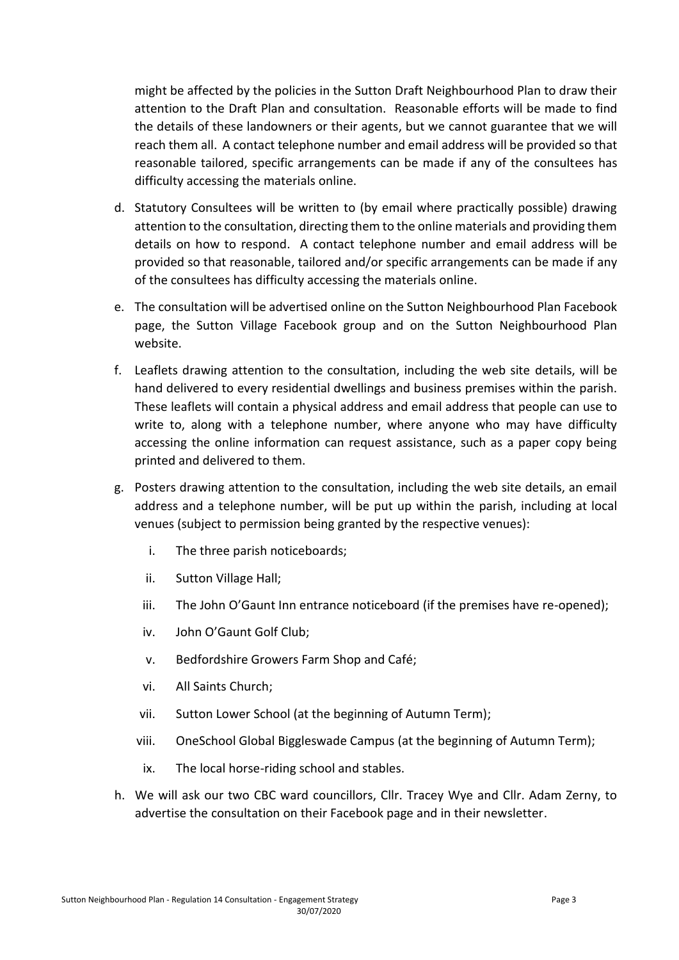might be affected by the policies in the Sutton Draft Neighbourhood Plan to draw their attention to the Draft Plan and consultation. Reasonable efforts will be made to find the details of these landowners or their agents, but we cannot guarantee that we will reach them all. A contact telephone number and email address will be provided so that reasonable tailored, specific arrangements can be made if any of the consultees has difficulty accessing the materials online.

- d. Statutory Consultees will be written to (by email where practically possible) drawing attention to the consultation, directing them to the online materials and providing them details on how to respond. A contact telephone number and email address will be provided so that reasonable, tailored and/or specific arrangements can be made if any of the consultees has difficulty accessing the materials online.
- e. The consultation will be advertised online on the Sutton Neighbourhood Plan Facebook page, the Sutton Village Facebook group and on the Sutton Neighbourhood Plan website.
- f. Leaflets drawing attention to the consultation, including the web site details, will be hand delivered to every residential dwellings and business premises within the parish. These leaflets will contain a physical address and email address that people can use to write to, along with a telephone number, where anyone who may have difficulty accessing the online information can request assistance, such as a paper copy being printed and delivered to them.
- g. Posters drawing attention to the consultation, including the web site details, an email address and a telephone number, will be put up within the parish, including at local venues (subject to permission being granted by the respective venues):
	- i. The three parish noticeboards;
	- ii. Sutton Village Hall;
	- iii. The John O'Gaunt Inn entrance noticeboard (if the premises have re-opened);
	- iv. John O'Gaunt Golf Club;
	- v. Bedfordshire Growers Farm Shop and Café;
	- vi. All Saints Church;
	- vii. Sutton Lower School (at the beginning of Autumn Term);
	- viii. OneSchool Global Biggleswade Campus (at the beginning of Autumn Term);
	- ix. The local horse-riding school and stables.
- h. We will ask our two CBC ward councillors, Cllr. Tracey Wye and Cllr. Adam Zerny, to advertise the consultation on their Facebook page and in their newsletter.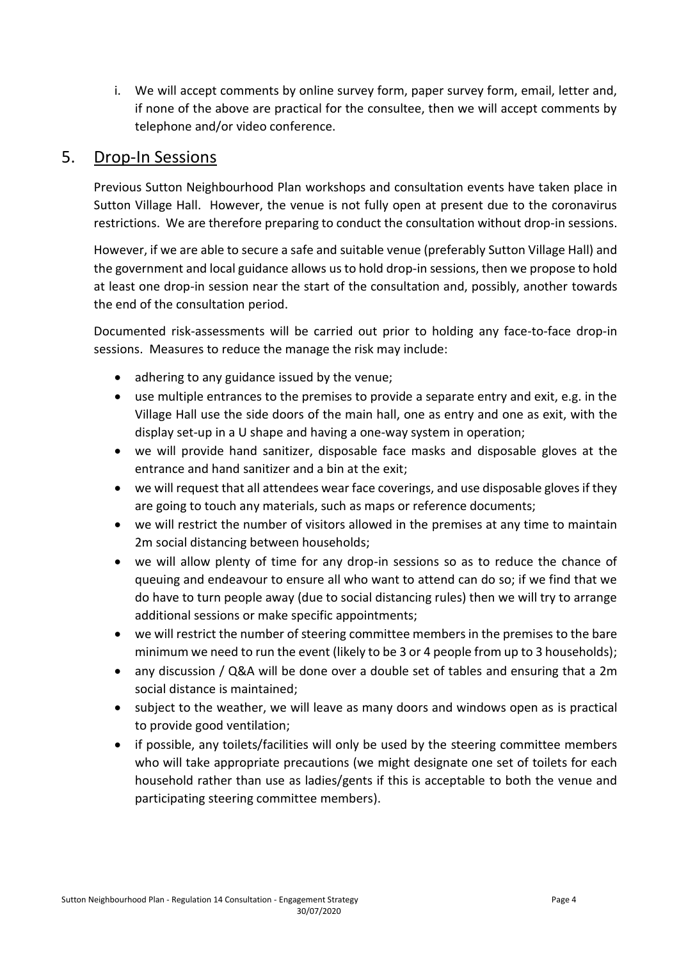i. We will accept comments by online survey form, paper survey form, email, letter and, if none of the above are practical for the consultee, then we will accept comments by telephone and/or video conference.

#### 5. Drop-In Sessions

Previous Sutton Neighbourhood Plan workshops and consultation events have taken place in Sutton Village Hall. However, the venue is not fully open at present due to the coronavirus restrictions. We are therefore preparing to conduct the consultation without drop-in sessions.

However, if we are able to secure a safe and suitable venue (preferably Sutton Village Hall) and the government and local guidance allows us to hold drop-in sessions, then we propose to hold at least one drop-in session near the start of the consultation and, possibly, another towards the end of the consultation period.

Documented risk-assessments will be carried out prior to holding any face-to-face drop-in sessions. Measures to reduce the manage the risk may include:

- adhering to any guidance issued by the venue;
- use multiple entrances to the premises to provide a separate entry and exit, e.g. in the Village Hall use the side doors of the main hall, one as entry and one as exit, with the display set-up in a U shape and having a one-way system in operation;
- we will provide hand sanitizer, disposable face masks and disposable gloves at the entrance and hand sanitizer and a bin at the exit;
- we will request that all attendees wear face coverings, and use disposable gloves if they are going to touch any materials, such as maps or reference documents;
- we will restrict the number of visitors allowed in the premises at any time to maintain 2m social distancing between households;
- we will allow plenty of time for any drop-in sessions so as to reduce the chance of queuing and endeavour to ensure all who want to attend can do so; if we find that we do have to turn people away (due to social distancing rules) then we will try to arrange additional sessions or make specific appointments;
- we will restrict the number of steering committee members in the premises to the bare minimum we need to run the event (likely to be 3 or 4 people from up to 3 households);
- any discussion / Q&A will be done over a double set of tables and ensuring that a 2m social distance is maintained;
- subject to the weather, we will leave as many doors and windows open as is practical to provide good ventilation;
- if possible, any toilets/facilities will only be used by the steering committee members who will take appropriate precautions (we might designate one set of toilets for each household rather than use as ladies/gents if this is acceptable to both the venue and participating steering committee members).